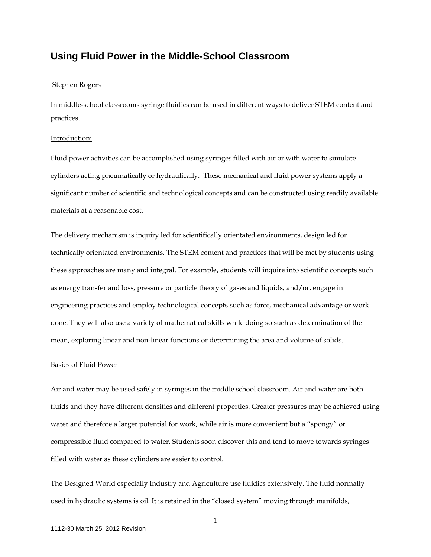# **Using Fluid Power in the Middle-School Classroom**

# Stephen Rogers

In middle-school classrooms syringe fluidics can be used in different ways to deliver STEM content and practices.

### Introduction:

Fluid power activities can be accomplished using syringes filled with air or with water to simulate cylinders acting pneumatically or hydraulically. These mechanical and fluid power systems apply a significant number of scientific and technological concepts and can be constructed using readily available materials at a reasonable cost.

The delivery mechanism is inquiry led for scientifically orientated environments, design led for technically orientated environments. The STEM content and practices that will be met by students using these approaches are many and integral. For example, students will inquire into scientific concepts such as energy transfer and loss, pressure or particle theory of gases and liquids, and/or, engage in engineering practices and employ technological concepts such as force, mechanical advantage or work done. They will also use a variety of mathematical skills while doing so such as determination of the mean, exploring linear and non-linear functions or determining the area and volume of solids.

## Basics of Fluid Power

Air and water may be used safely in syringes in the middle school classroom. Air and water are both fluids and they have different densities and different properties. Greater pressures may be achieved using water and therefore a larger potential for work, while air is more convenient but a "spongy" or compressible fluid compared to water. Students soon discover this and tend to move towards syringes filled with water as these cylinders are easier to control.

The Designed World especially Industry and Agriculture use fluidics extensively. The fluid normally used in hydraulic systems is oil. It is retained in the "closed system" moving through manifolds,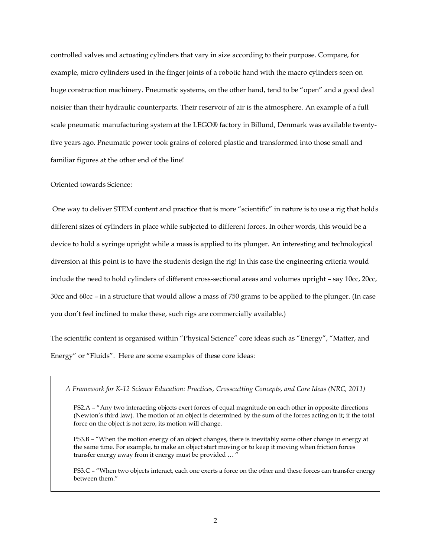controlled valves and actuating cylinders that vary in size according to their purpose. Compare, for example, micro cylinders used in the finger joints of a robotic hand with the macro cylinders seen on huge construction machinery. Pneumatic systems, on the other hand, tend to be "open" and a good deal noisier than their hydraulic counterparts. Their reservoir of air is the atmosphere. An example of a full scale pneumatic manufacturing system at the LEGO® factory in Billund, Denmark was available twentyfive years ago. Pneumatic power took grains of colored plastic and transformed into those small and familiar figures at the other end of the line!

#### Oriented towards Science:

One way to deliver STEM content and practice that is more "scientific" in nature is to use a rig that holds different sizes of cylinders in place while subjected to different forces. In other words, this would be a device to hold a syringe upright while a mass is applied to its plunger. An interesting and technological diversion at this point is to have the students design the rig! In this case the engineering criteria would include the need to hold cylinders of different cross-sectional areas and volumes upright – say 10cc, 20cc, 30cc and 60cc – in a structure that would allow a mass of 750 grams to be applied to the plunger. (In case you don't feel inclined to make these, such rigs are commercially available.)

The scientific content is organised within "Physical Science" core ideas such as "Energy", "Matter, and Energy" or "Fluids". Here are some examples of these core ideas:

*A Framework for K-12 Science Education: Practices, Crosscutting Concepts, and Core Ideas (NRC, 2011)*

PS2.A – "Any two interacting objects exert forces of equal magnitude on each other in opposite directions (Newton's third law). The motion of an object is determined by the sum of the forces acting on it; if the total force on the object is not zero, its motion will change.

PS3.B – "When the motion energy of an object changes, there is inevitably some other change in energy at the same time. For example, to make an object start moving or to keep it moving when friction forces transfer energy away from it energy must be provided … "

PS3.C – "When two objects interact, each one exerts a force on the other and these forces can transfer energy between them."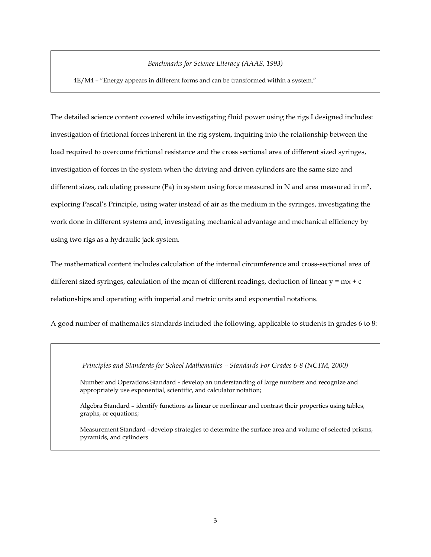## *Benchmarks for Science Literacy (AAAS, 1993)*

4E/M4 – "Energy appears in different forms and can be transformed within a system."

The detailed science content covered while investigating fluid power using the rigs I designed includes: investigation of frictional forces inherent in the rig system, inquiring into the relationship between the load required to overcome frictional resistance and the cross sectional area of different sized syringes, investigation of forces in the system when the driving and driven cylinders are the same size and different sizes, calculating pressure (Pa) in system using force measured in N and area measured in m², exploring Pascal's Principle, using water instead of air as the medium in the syringes, investigating the work done in different systems and, investigating mechanical advantage and mechanical efficiency by using two rigs as a hydraulic jack system.

The mathematical content includes calculation of the internal circumference and cross-sectional area of different sized syringes, calculation of the mean of different readings, deduction of linear  $y = mx + c$ relationships and operating with imperial and metric units and exponential notations.

A good number of mathematics standards included the following, applicable to students in grades 6 to 8:

*Principles and Standards for School Mathematics – Standards For Grades 6-8 (NCTM, 2000)*

Number and Operations Standard **-** develop an understanding of large numbers and recognize and appropriately use exponential, scientific, and calculator notation;

Algebra Standard **–** identify functions as linear or nonlinear and contrast their properties using tables, graphs, or equations;

Measurement Standard **–**develop strategies to determine the surface area and volume of selected prisms, pyramids, and cylinders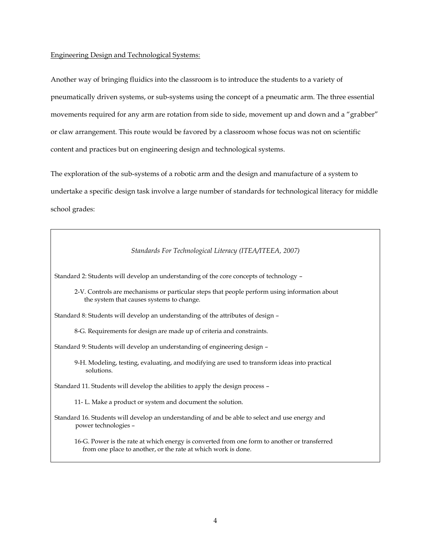#### Engineering Design and Technological Systems:

Another way of bringing fluidics into the classroom is to introduce the students to a variety of pneumatically driven systems, or sub-systems using the concept of a pneumatic arm. The three essential movements required for any arm are rotation from side to side, movement up and down and a "grabber" or claw arrangement. This route would be favored by a classroom whose focus was not on scientific content and practices but on engineering design and technological systems.

The exploration of the sub-systems of a robotic arm and the design and manufacture of a system to undertake a specific design task involve a large number of standards for technological literacy for middle school grades:

#### *Standards For Technological Literacy (ITEA/ITEEA, 2007)*

Standard 2: Students will develop an understanding of the core concepts of technology –

2-V. Controls are mechanisms or particular steps that people perform using information about the system that causes systems to change.

Standard 8: Students will develop an understanding of the attributes of design –

8-G. Requirements for design are made up of criteria and constraints.

Standard 9: Students will develop an understanding of engineering design –

9-H. Modeling, testing, evaluating, and modifying are used to transform ideas into practical solutions.

Standard 11. Students will develop the abilities to apply the design process –

11- L. Make a product or system and document the solution.

Standard 16. Students will develop an understanding of and be able to select and use energy and power technologies –

16-G. Power is the rate at which energy is converted from one form to another or transferred from one place to another, or the rate at which work is done.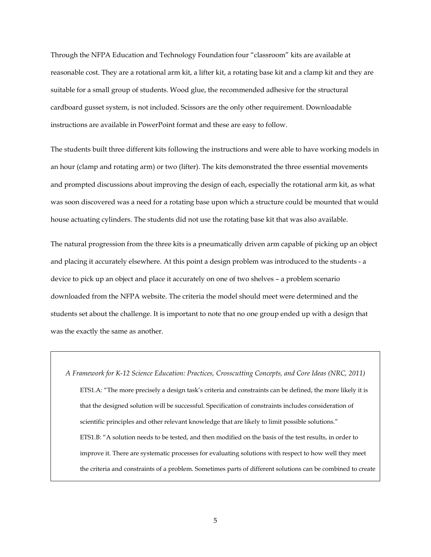Through the NFPA Education and Technology Foundation four "classroom" kits are available at reasonable cost. They are a rotational arm kit, a lifter kit, a rotating base kit and a clamp kit and they are suitable for a small group of students. Wood glue, the recommended adhesive for the structural cardboard gusset system, is not included. Scissors are the only other requirement. Downloadable instructions are available in PowerPoint format and these are easy to follow.

The students built three different kits following the instructions and were able to have working models in an hour (clamp and rotating arm) or two (lifter). The kits demonstrated the three essential movements and prompted discussions about improving the design of each, especially the rotational arm kit, as what was soon discovered was a need for a rotating base upon which a structure could be mounted that would house actuating cylinders. The students did not use the rotating base kit that was also available.

The natural progression from the three kits is a pneumatically driven arm capable of picking up an object and placing it accurately elsewhere. At this point a design problem was introduced to the students - a device to pick up an object and place it accurately on one of two shelves – a problem scenario downloaded from the NFPA website. The criteria the model should meet were determined and the students set about the challenge. It is important to note that no one group ended up with a design that was the exactly the same as another.

*A Framework for K-12 Science Education: Practices, Crosscutting Concepts, and Core Ideas (NRC, 2011)* ETS1.A: "The more precisely a design task's criteria and constraints can be defined, the more likely it is that the designed solution will be successful. Specification of constraints includes consideration of scientific principles and other relevant knowledge that are likely to limit possible solutions." ETS1.B: "A solution needs to be tested, and then modified on the basis of the test results, in order to improve it. There are systematic processes for evaluating solutions with respect to how well they meet the criteria and constraints of a problem. Sometimes parts of different solutions can be combined to create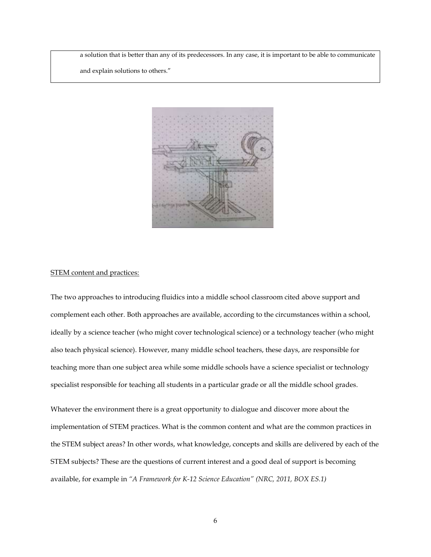a solution that is better than any of its predecessors. In any case, it is important to be able to communicate

and explain solutions to others."



#### STEM content and practices:

The two approaches to introducing fluidics into a middle school classroom cited above support and complement each other. Both approaches are available, according to the circumstances within a school, ideally by a science teacher (who might cover technological science) or a technology teacher (who might also teach physical science). However, many middle school teachers, these days, are responsible for teaching more than one subject area while some middle schools have a science specialist or technology specialist responsible for teaching all students in a particular grade or all the middle school grades.

Whatever the environment there is a great opportunity to dialogue and discover more about the implementation of STEM practices. What is the common content and what are the common practices in the STEM subject areas? In other words, what knowledge, concepts and skills are delivered by each of the STEM subjects? These are the questions of current interest and a good deal of support is becoming available, for example in *"A Framework for K-12 Science Education" (NRC, 2011, BOX ES.1)*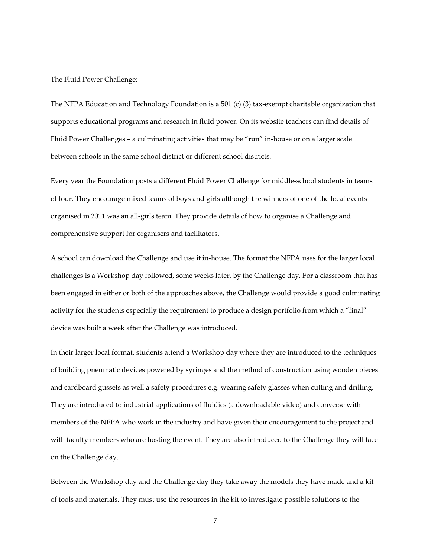#### The Fluid Power Challenge:

The NFPA Education and Technology Foundation is a 501 (c) (3) tax-exempt charitable organization that supports educational programs and research in fluid power. On its website teachers can find details of Fluid Power Challenges – a culminating activities that may be "run" in-house or on a larger scale between schools in the same school district or different school districts.

Every year the Foundation posts a different Fluid Power Challenge for middle-school students in teams of four. They encourage mixed teams of boys and girls although the winners of one of the local events organised in 2011 was an all-girls team. They provide details of how to organise a Challenge and comprehensive support for organisers and facilitators.

A school can download the Challenge and use it in-house. The format the NFPA uses for the larger local challenges is a Workshop day followed, some weeks later, by the Challenge day. For a classroom that has been engaged in either or both of the approaches above, the Challenge would provide a good culminating activity for the students especially the requirement to produce a design portfolio from which a "final" device was built a week after the Challenge was introduced.

In their larger local format, students attend a Workshop day where they are introduced to the techniques of building pneumatic devices powered by syringes and the method of construction using wooden pieces and cardboard gussets as well a safety procedures e.g. wearing safety glasses when cutting and drilling. They are introduced to industrial applications of fluidics (a downloadable video) and converse with members of the NFPA who work in the industry and have given their encouragement to the project and with faculty members who are hosting the event. They are also introduced to the Challenge they will face on the Challenge day.

Between the Workshop day and the Challenge day they take away the models they have made and a kit of tools and materials. They must use the resources in the kit to investigate possible solutions to the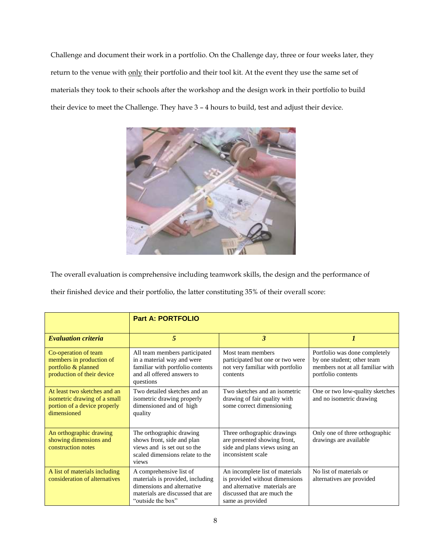Challenge and document their work in a portfolio. On the Challenge day, three or four weeks later, they return to the venue with only their portfolio and their tool kit. At the event they use the same set of materials they took to their schools after the workshop and the design work in their portfolio to build their device to meet the Challenge. They have 3 – 4 hours to build, test and adjust their device.



The overall evaluation is comprehensive including teamwork skills, the design and the performance of

their finished device and their portfolio, the latter constituting 35% of their overall score:

|                                                                                                             | <b>Part A: PORTFOLIO</b>                                                                                                                           |                                                                                                                                                       |                                                                                                                       |  |
|-------------------------------------------------------------------------------------------------------------|----------------------------------------------------------------------------------------------------------------------------------------------------|-------------------------------------------------------------------------------------------------------------------------------------------------------|-----------------------------------------------------------------------------------------------------------------------|--|
| <b>Evaluation criteria</b>                                                                                  | 5                                                                                                                                                  | 3                                                                                                                                                     |                                                                                                                       |  |
| Co-operation of team<br>members in production of<br>portfolio & planned<br>production of their device       | All team members participated<br>in a material way and were<br>familiar with portfolio contents<br>and all offered answers to<br>questions         | Most team members<br>participated but one or two were<br>not very familiar with portfolio<br>contents                                                 | Portfolio was done completely<br>by one student; other team<br>members not at all familiar with<br>portfolio contents |  |
| At least two sketches and an<br>isometric drawing of a small<br>portion of a device properly<br>dimensioned | Two detailed sketches and an<br>isometric drawing properly<br>dimensioned and of high<br>quality                                                   | Two sketches and an isometric<br>drawing of fair quality with<br>some correct dimensioning                                                            | One or two low-quality sketches<br>and no isometric drawing                                                           |  |
| An orthographic drawing<br>showing dimensions and<br>construction notes                                     | The orthographic drawing<br>shows front, side and plan<br>views and is set out so the<br>scaled dimensions relate to the<br>views                  | Three orthographic drawings<br>are presented showing front,<br>side and plans views using an<br>inconsistent scale                                    | Only one of three orthographic<br>drawings are available                                                              |  |
| A list of materials including<br>consideration of alternatives                                              | A comprehensive list of<br>materials is provided, including<br>dimensions and alternative<br>materials are discussed that are<br>"outside the box" | An incomplete list of materials<br>is provided without dimensions<br>and alternative materials are<br>discussed that are much the<br>same as provided | No list of materials or<br>alternatives are provided                                                                  |  |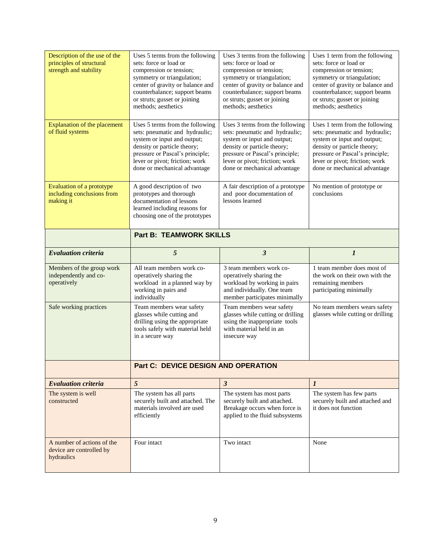| Description of the use of the<br>principles of structural<br>strength and stability | Uses 5 terms from the following<br>sets: force or load or<br>compression or tension;<br>symmetry or triangulation;<br>center of gravity or balance and<br>counterbalance; support beams<br>or struts; gusset or joining<br>methods; aesthetics | Uses 3 terms from the following<br>sets: force or load or<br>compression or tension;<br>symmetry or triangulation;<br>center of gravity or balance and<br>counterbalance; support beams<br>or struts; gusset or joining<br>methods; aesthetics | Uses 1 term from the following<br>sets: force or load or<br>compression or tension;<br>symmetry or triangulation;<br>center of gravity or balance and<br>counterbalance; support beams<br>or struts; gusset or joining<br>methods; aesthetics |  |
|-------------------------------------------------------------------------------------|------------------------------------------------------------------------------------------------------------------------------------------------------------------------------------------------------------------------------------------------|------------------------------------------------------------------------------------------------------------------------------------------------------------------------------------------------------------------------------------------------|-----------------------------------------------------------------------------------------------------------------------------------------------------------------------------------------------------------------------------------------------|--|
| <b>Explanation of the placement</b><br>of fluid systems                             | Uses 5 terms from the following<br>sets: pneumatic and hydraulic;<br>system or input and output;<br>density or particle theory;<br>pressure or Pascal's principle;<br>lever or pivot; friction; work<br>done or mechanical advantage           | Uses 3 terms from the following<br>sets: pneumatic and hydraulic;<br>system or input and output;<br>density or particle theory;<br>pressure or Pascal's principle;<br>lever or pivot; friction; work<br>done or mechanical advantage           | Uses 1 term from the following<br>sets: pneumatic and hydraulic;<br>system or input and output;<br>density or particle theory;<br>pressure or Pascal's principle;<br>lever or pivot; friction; work<br>done or mechanical advantage           |  |
| Evaluation of a prototype<br>including conclusions from<br>making it                | A good description of two<br>prototypes and thorough<br>documentation of lessons<br>learned including reasons for<br>choosing one of the prototypes                                                                                            | A fair description of a prototype<br>and poor documentation of<br>lessons learned                                                                                                                                                              | No mention of prototype or<br>conclusions                                                                                                                                                                                                     |  |
|                                                                                     | <b>Part B: TEAMWORK SKILLS</b>                                                                                                                                                                                                                 |                                                                                                                                                                                                                                                |                                                                                                                                                                                                                                               |  |
| <b>Evaluation criteria</b>                                                          | 5                                                                                                                                                                                                                                              | $\boldsymbol{\beta}$                                                                                                                                                                                                                           | $\boldsymbol{l}$                                                                                                                                                                                                                              |  |
|                                                                                     |                                                                                                                                                                                                                                                |                                                                                                                                                                                                                                                |                                                                                                                                                                                                                                               |  |
| Members of the group work<br>independently and co-<br>operatively                   | All team members work co-<br>operatively sharing the<br>workload in a planned way by<br>working in pairs and<br>individually                                                                                                                   | 3 team members work co-<br>operatively sharing the<br>workload by working in pairs<br>and individually. One team<br>member participates minimally                                                                                              | 1 team member does most of<br>the work on their own with the<br>remaining members<br>participating minimally                                                                                                                                  |  |
| Safe working practices                                                              | Team members wear safety<br>glasses while cutting and<br>drilling using the appropriate<br>tools safely with material held<br>in a secure way                                                                                                  | Team members wear safety<br>glasses while cutting or drilling<br>using the inappropriate tools<br>with material held in an<br>insecure way                                                                                                     | No team members wears safety<br>glasses while cutting or drilling                                                                                                                                                                             |  |
|                                                                                     | Part C: DEVICE DESIGN AND OPERATION                                                                                                                                                                                                            |                                                                                                                                                                                                                                                |                                                                                                                                                                                                                                               |  |
| <b>Evaluation criteria</b>                                                          | 5                                                                                                                                                                                                                                              | $\mathfrak{z}$                                                                                                                                                                                                                                 | $\boldsymbol{l}$                                                                                                                                                                                                                              |  |
| The system is well<br>constructed                                                   | The system has all parts<br>securely built and attached. The<br>materials involved are used<br>efficiently                                                                                                                                     | The system has most parts<br>securely built and attached.<br>Breakage occurs when force is<br>applied to the fluid subsystems                                                                                                                  | The system has few parts<br>securely built and attached and<br>it does not function                                                                                                                                                           |  |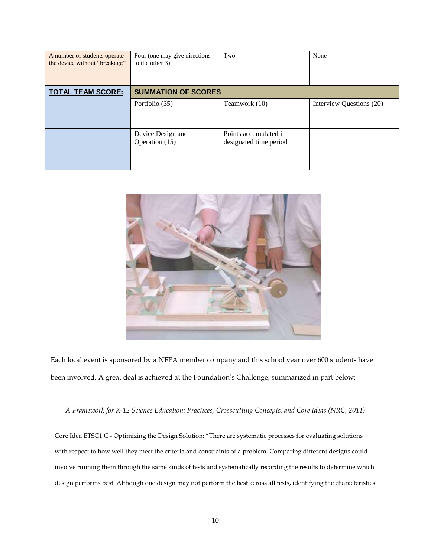| A number of students operate<br>the device without "breakage" | Four (one may give directions)<br>to the other 3) | Two                                             | None                     |  |  |
|---------------------------------------------------------------|---------------------------------------------------|-------------------------------------------------|--------------------------|--|--|
| <b>TOTAL TEAM SCORE:</b>                                      | <b>SUMMATION OF SCORES</b>                        |                                                 |                          |  |  |
|                                                               | Portfolio (35)                                    | Teamwork (10)                                   | Interview Questions (20) |  |  |
|                                                               |                                                   |                                                 |                          |  |  |
|                                                               | Device Design and<br>Operation (15)               | Points accumulated in<br>designated time period |                          |  |  |
|                                                               |                                                   |                                                 |                          |  |  |



Each local event is sponsored by a NFPA member company and this school year over 600 students have been involved. A great deal is achieved at the Foundation's Challenge, summarized in part below:

*A Framework for K-12 Science Education: Practices, Crosscutting Concepts, and Core Ideas (NRC, 2011)* 

Core Idea ETSC1.C - Optimizing the Design Solution: "There are systematic processes for evaluating solutions with respect to how well they meet the criteria and constraints of a problem. Comparing different designs could involve running them through the same kinds of tests and systematically recording the results to determine which design performs best. Although one design may not perform the best across all tests, identifying the characteristics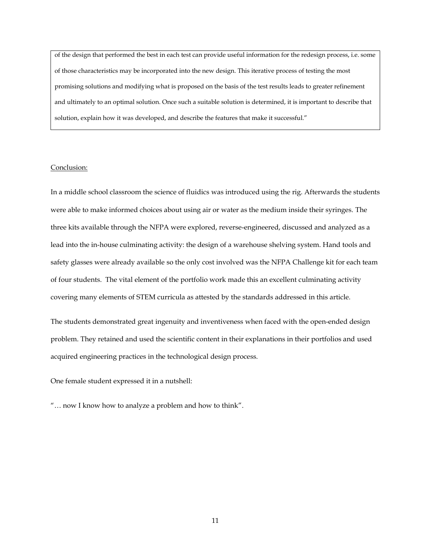of the design that performed the best in each test can provide useful information for the redesign process, i.e. some of those characteristics may be incorporated into the new design. This iterative process of testing the most promising solutions and modifying what is proposed on the basis of the test results leads to greater refinement and ultimately to an optimal solution. Once such a suitable solution is determined, it is important to describe that solution, explain how it was developed, and describe the features that make it successful."

# Conclusion:

In a middle school classroom the science of fluidics was introduced using the rig. Afterwards the students were able to make informed choices about using air or water as the medium inside their syringes. The three kits available through the NFPA were explored, reverse-engineered, discussed and analyzed as a lead into the in-house culminating activity: the design of a warehouse shelving system. Hand tools and safety glasses were already available so the only cost involved was the NFPA Challenge kit for each team of four students. The vital element of the portfolio work made this an excellent culminating activity covering many elements of STEM curricula as attested by the standards addressed in this article.

The students demonstrated great ingenuity and inventiveness when faced with the open-ended design problem. They retained and used the scientific content in their explanations in their portfolios and used acquired engineering practices in the technological design process.

One female student expressed it in a nutshell:

"… now I know how to analyze a problem and how to think".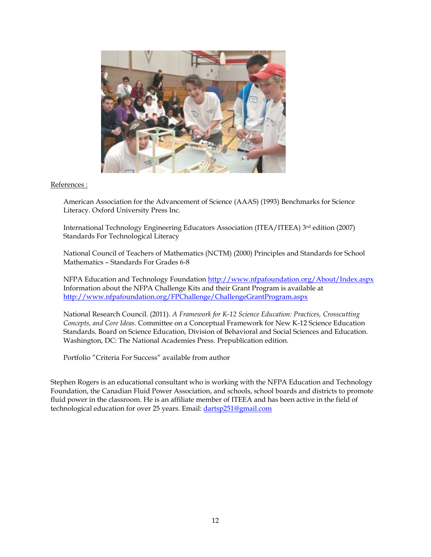

# References :

American Association for the Advancement of Science (AAAS) (1993) Benchmarks for Science Literacy. Oxford University Press Inc.

International Technology Engineering Educators Association (ITEA/ITEEA) 3rd edition (2007) Standards For Technological Literacy

National Council of Teachers of Mathematics (NCTM) (2000) Principles and Standards for School Mathematics – Standards For Grades 6-8

NFPA Education and Technology Foundation<http://www.nfpafoundation.org/About/Index.aspx> Information about the NFPA Challenge Kits and their Grant Program is available at <http://www.nfpafoundation.org/FPChallenge/ChallengeGrantProgram.aspx>

National Research Council. (2011). *A Framework for K-12 Science Education: Practices, Crosscutting Concepts, and Core Ideas.* Committee on a Conceptual Framework for New K-12 Science Education Standards. Board on Science Education, Division of Behavioral and Social Sciences and Education. Washington, DC: The National Academies Press. Prepublication edition.

Portfolio "Criteria For Success" available from author

Stephen Rogers is an educational consultant who is working with the NFPA Education and Technology Foundation, the Canadian Fluid Power Association, and schools, school boards and districts to promote fluid power in the classroom. He is an affiliate member of ITEEA and has been active in the field of technological education for over 25 years. Email: [dartsp251@gmail.com](mailto:dartsp251@gmail.com)